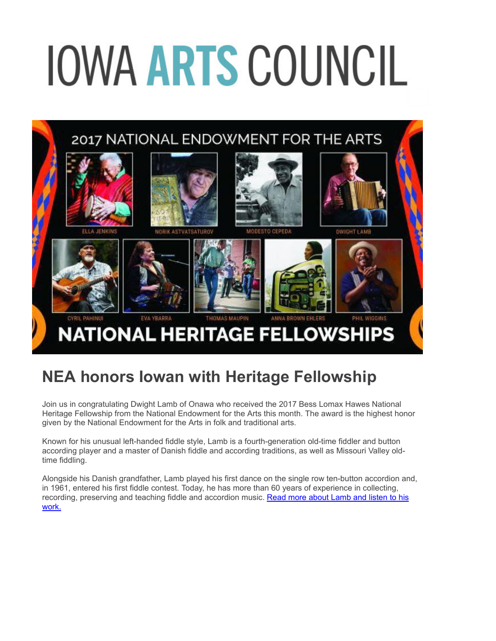# **IOWA ARTS COUNCIL**

## 2017 NATIONAL ENDOWMENT FOR THE ARTS









**DWIGHT LAMB** 







## **NATIONAL HERITAGE FELLOWSHIPS**

**THOMAS MAUPIN** 

## NEA honors Iowan with Heritage Fellowship

Join us in congratulating Dwight Lamb of Onawa who received the 2017 Bess Lomax Hawes National Heritage Fellowship from the National Endowment for the Arts this month. The award is the highest honor given by the National Endowment for the Arts in folk and traditional arts.

Known for his unusual left-handed fiddle style, Lamb is a fourth-generation old-time fiddler and button according player and a master of Danish fiddle and according traditions, as well as Missouri Valley oldtime fiddling.

Alongside his Danish grandfather, Lamb played his first dance on the single row ten-button accordion and, in 1961, entered his first fiddle contest. Today, he has more than 60 years of experience in collecting, [recording, preserving and teaching fiddle and accordion music.](http://r20.rs6.net/tn.jsp?f=001BpaAKUYYfohO8dQioT3abOfdNYvKnx2XwewNTv9bLleYekRYeyyWdR7uCI4O9ENo92IoT_Et5skStFP10iEqGnoAoEfgRW_xbb4Hz4bZnb0yE5oFFBJjTlXaoiwUHeEsJVvioQRIf5A16wagzx_IM_qESa_BVDbh06k8ne7Nd8XMe0UfKJC0S8ju_S58TB_7&c=RGZCRn25GPL22Q3S1K478gLRplXBV78cKYE8XnSpgsRZXU4v5b1QGw==&ch=5uYAvaoZpvDYax6dbDXnNlmkc7I7VZu1MTdyvHZbey0-CI3H_ZwGmg==) Read more about Lamb and listen to his work.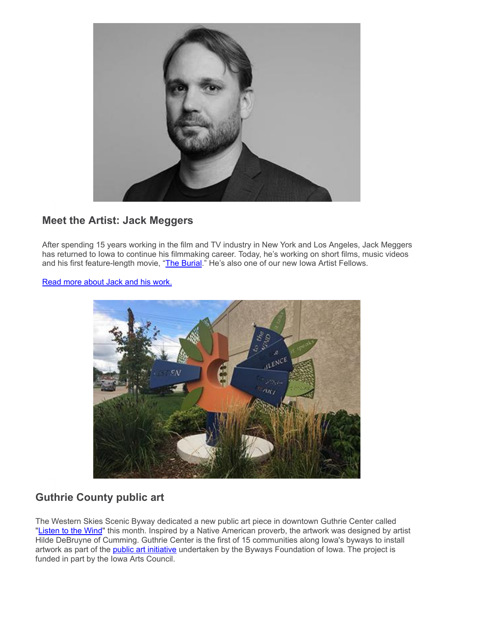

#### Meet the Artist: Jack Meggers

After spending 15 years working in the film and TV industry in New York and Los Angeles, Jack Meggers has returned to Iowa to continue his filmmaking career. Today, he's working on short films, music videos and his first feature-length movie, "[The Burial](http://r20.rs6.net/tn.jsp?f=001BpaAKUYYfohO8dQioT3abOfdNYvKnx2XwewNTv9bLleYekRYeyyWdR7uCI4O9ENoICnkAzkQ8AR9BrUQBjX11O7q5Bcaqpoy4AMVaTFhWlhpxYLawqP7WWVI4NXX7aORGgjobazHBW8=&c=RGZCRn25GPL22Q3S1K478gLRplXBV78cKYE8XnSpgsRZXU4v5b1QGw==&ch=5uYAvaoZpvDYax6dbDXnNlmkc7I7VZu1MTdyvHZbey0-CI3H_ZwGmg==)." He's also one of our new Iowa Artist Fellows.

#### [Read more about Jack and his work.](http://r20.rs6.net/tn.jsp?f=001BpaAKUYYfohO8dQioT3abOfdNYvKnx2XwewNTv9bLleYekRYeyyWdR7uCI4O9ENoUd7FqkW5fNQ7z4QzmaKuJdPVgivB_2lsWxaqTqZ5xzTUXPWPvhTk837N6HbBaWBCa9FlrxN05DqcdlBp859FBppBUm_GV6C8iOzvmz9NDJt4X4Tua3fici8tcb-bg5bKBYRAY828blIxkEYB39Eaao35fRGYltIS&c=RGZCRn25GPL22Q3S1K478gLRplXBV78cKYE8XnSpgsRZXU4v5b1QGw==&ch=5uYAvaoZpvDYax6dbDXnNlmkc7I7VZu1MTdyvHZbey0-CI3H_ZwGmg==)



#### Guthrie County public art

The Western Skies Scenic Byway dedicated a new public art piece in downtown Guthrie Center called ["Listen to the Wind](http://r20.rs6.net/tn.jsp?f=001BpaAKUYYfohO8dQioT3abOfdNYvKnx2XwewNTv9bLleYekRYeyyWdR7uCI4O9ENoyp3tAIPBVI5kZsi1vh5MaSeoxESPnVKe8vqjLS26Ly9qoFUKgB3z_gY1_fKrj81Qn9ubXjaBqO3x6ZpmGU74BWOYrlUzQ63_KdQsssqUJELWwKsW0A6Hqd12d9f1t3Q8xgwP8_j1G4NCDIwO5Cx5fryGOzlqYrAZZelfkKAA4NEHwb91VN1Cw75-zidXNF2jkrJhpL2lMX2y9eXBz8TEiMxuaJD97N9S&c=RGZCRn25GPL22Q3S1K478gLRplXBV78cKYE8XnSpgsRZXU4v5b1QGw==&ch=5uYAvaoZpvDYax6dbDXnNlmkc7I7VZu1MTdyvHZbey0-CI3H_ZwGmg==)" this month. Inspired by a Native American proverb, the artwork was designed by artist Hilde DeBruyne of Cumming. Guthrie Center is the first of 15 communities along Iowa's byways to install artwork as part of the [public art initiative](http://r20.rs6.net/tn.jsp?f=001BpaAKUYYfohO8dQioT3abOfdNYvKnx2XwewNTv9bLleYekRYeyyWdR7uCI4O9ENo-PQpigPFYj3rv0P0FizmO9wFtCD0_f9BZVKX2sT4TXCMHWlwdYvXvMze4Cd6XB7YnEy7klTiva8xVB-2J0EjZuUnc3nP9YlMyFv1re5kWi4dK-Bly5tOKw==&c=RGZCRn25GPL22Q3S1K478gLRplXBV78cKYE8XnSpgsRZXU4v5b1QGw==&ch=5uYAvaoZpvDYax6dbDXnNlmkc7I7VZu1MTdyvHZbey0-CI3H_ZwGmg==) undertaken by the Byways Foundation of Iowa. The project is funded in part by the Iowa Arts Council.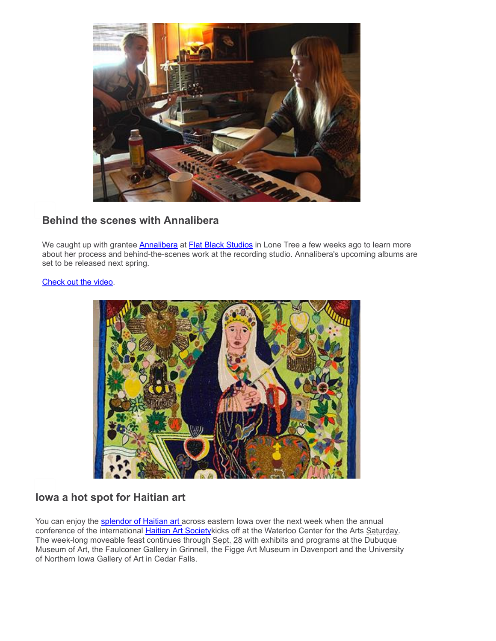

#### Behind the scenes with Annalibera

We caught up with grantee [Annalibera](http://r20.rs6.net/tn.jsp?f=001BpaAKUYYfohO8dQioT3abOfdNYvKnx2XwewNTv9bLleYekRYeyyWdR7uCI4O9ENoTbnojtYlXkHc8k6xX_oo4uAmQZCt0muBQQAz5uSt8x_S_Yw4y9E6zmbPxL0G10OES5cbtL_1sbg3WCziG6rpdw==&c=RGZCRn25GPL22Q3S1K478gLRplXBV78cKYE8XnSpgsRZXU4v5b1QGw==&ch=5uYAvaoZpvDYax6dbDXnNlmkc7I7VZu1MTdyvHZbey0-CI3H_ZwGmg==) at [Flat Black Studios](http://r20.rs6.net/tn.jsp?f=001BpaAKUYYfohO8dQioT3abOfdNYvKnx2XwewNTv9bLleYekRYeyyWdR7uCI4O9ENo3Gh6HGI_EhdVx7hK4xywN8yiEuPzJqtqAIQORfKNlmwBiDbp0fSaYZrkxu0cJkWJqO20De0s1crc8a2mXSuI8ELgWeDpiYMt&c=RGZCRn25GPL22Q3S1K478gLRplXBV78cKYE8XnSpgsRZXU4v5b1QGw==&ch=5uYAvaoZpvDYax6dbDXnNlmkc7I7VZu1MTdyvHZbey0-CI3H_ZwGmg==) in Lone Tree a few weeks ago to learn more about her process and behind-the-scenes work at the recording studio. Annalibera's upcoming albums are set to be released next spring.

#### [Check out the video.](http://r20.rs6.net/tn.jsp?f=001BpaAKUYYfohO8dQioT3abOfdNYvKnx2XwewNTv9bLleYekRYeyyWdR7uCI4O9ENoegffFPso8tCwZeGwT96p8W62_y0P7e0LWIlV3S0jIY1eKynMEtULt009WCKEeDI_oe1_cp1ZawSEqkSt-DomdcO91B1JfSWAyIPz0rFaJfP3rg6j9zRMUw==&c=RGZCRn25GPL22Q3S1K478gLRplXBV78cKYE8XnSpgsRZXU4v5b1QGw==&ch=5uYAvaoZpvDYax6dbDXnNlmkc7I7VZu1MTdyvHZbey0-CI3H_ZwGmg==)



#### Iowa a hot spot for Haitian art

You can enjoy the **[splendor of Haitian art](http://r20.rs6.net/tn.jsp?f=001BpaAKUYYfohO8dQioT3abOfdNYvKnx2XwewNTv9bLleYekRYeyyWdR7uCI4O9ENomC3fe7MLjLddl2r3YorZaE_1IXy7mFOPfHzlk-f0n4VNyuy82Dw1l-Yevo6ImFcy0LVALb7EC4dVZQzncofXGfu3ZTmAyU_rNuKPWYPS1ztYuvZn7g3jlh5TPiCXdDS1t42LYcmjZlv-d29qOSFzaKkExY-RJJ1t&c=RGZCRn25GPL22Q3S1K478gLRplXBV78cKYE8XnSpgsRZXU4v5b1QGw==&ch=5uYAvaoZpvDYax6dbDXnNlmkc7I7VZu1MTdyvHZbey0-CI3H_ZwGmg==)** across eastern Iowa over the next week when the annual conference of the international [Haitian Art Society](http://r20.rs6.net/tn.jsp?f=001BpaAKUYYfohO8dQioT3abOfdNYvKnx2XwewNTv9bLleYekRYeyyWdR7uCI4O9ENo-uUdwa1W7DdjZyjnuJJRnWn49LgF0otV8ahiLvbA6JcUNd2E0-uSxH91uWDrejUGD6rTluFgKv-YMhCnkDHiza5BUYmDy6wYKQFfnUOLRqov5ZCtiZUFkbZX6S4t3FwDJ2Arl03739ZjH5iYeNanvQ==&c=RGZCRn25GPL22Q3S1K478gLRplXBV78cKYE8XnSpgsRZXU4v5b1QGw==&ch=5uYAvaoZpvDYax6dbDXnNlmkc7I7VZu1MTdyvHZbey0-CI3H_ZwGmg==) kicks off at the Waterloo Center for the Arts Saturday. The week-long moveable feast continues through Sept. 28 with exhibits and programs at the Dubuque Museum of Art, the Faulconer Gallery in Grinnell, the Figge Art Museum in Davenport and the University of Northern Iowa Gallery of Art in Cedar Falls.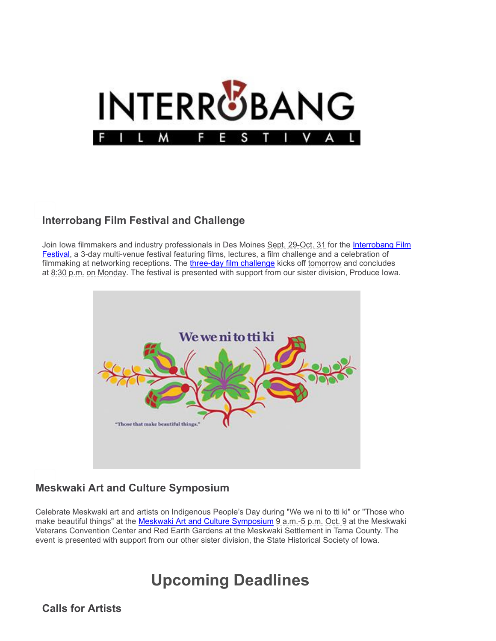

### Interrobang Film Festival and Challenge

Join lowa filmmakers and industry professionals in Des Moines Sept. 29-Oct. 31 for the Interrobang Film [Festival, a 3-day multi-venue festival featuring films, lectures, a film challenge and a celebration of](http://r20.rs6.net/tn.jsp?f=001BpaAKUYYfohO8dQioT3abOfdNYvKnx2XwewNTv9bLleYekRYeyyWdRvkbO2N73UurpqufVag8RP2rPgfpv43DnXrUbEwEBehQQQ6HhZtnk0mEB3ccGTrLeXgHzxehAzPhtuOGux_GH5Z63SSApM1jwvlbtRy6X_W&c=RGZCRn25GPL22Q3S1K478gLRplXBV78cKYE8XnSpgsRZXU4v5b1QGw==&ch=5uYAvaoZpvDYax6dbDXnNlmkc7I7VZu1MTdyvHZbey0-CI3H_ZwGmg==) filmmaking at networking receptions. The [three-day film challenge](http://r20.rs6.net/tn.jsp?f=001BpaAKUYYfohO8dQioT3abOfdNYvKnx2XwewNTv9bLleYekRYeyyWdRvkbO2N73UuFYNSjgOzSn-RCR6yQEsiXf8GZyvGucLCHsdfcdwhYCiJyioGoula_02O2U4G-Ra17QQ__BvS0xGnPGWMS7wKwmhk91rJJgLM_qpfqu2piR6hV7wOXzKzqqQw7NjySOJS&c=RGZCRn25GPL22Q3S1K478gLRplXBV78cKYE8XnSpgsRZXU4v5b1QGw==&ch=5uYAvaoZpvDYax6dbDXnNlmkc7I7VZu1MTdyvHZbey0-CI3H_ZwGmg==) kicks off tomorrow and concludes at 8:30 p.m. on Monday. The festival is presented with support from our sister division, Produce Iowa.



### Meskwaki Art and Culture Symposium

Celebrate Meskwaki art and artists on Indigenous People's Day during "We we ni to tti ki" or "Those who make beautiful things" at the [Meskwaki Art and Culture Symposium](http://r20.rs6.net/tn.jsp?f=001BpaAKUYYfohO8dQioT3abOfdNYvKnx2XwewNTv9bLleYekRYeyyWdR7uCI4O9ENoLBobLK08c5J69lQEYEvZhDh9HHFSXE7HPKdl-SVGkrSaTCRfZtRhBW5gVJjsCVeQ59irZh55T2M453HIB89NxMK--yErs_jXb8JeP8oFN7aNfhTChHciLFJTgBoQdED5YWw3qFeoqIc=&c=RGZCRn25GPL22Q3S1K478gLRplXBV78cKYE8XnSpgsRZXU4v5b1QGw==&ch=5uYAvaoZpvDYax6dbDXnNlmkc7I7VZu1MTdyvHZbey0-CI3H_ZwGmg==) 9 a.m.-5 p.m. Oct. 9 at the Meskwaki Veterans Convention Center and Red Earth Gardens at the Meskwaki Settlement in Tama County. The event is presented with support from our other sister division, the State Historical Society of Iowa.

## Upcoming Deadlines